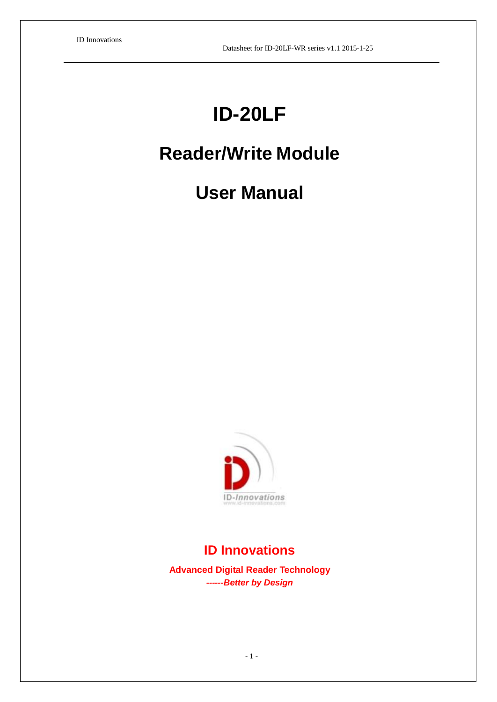# **ID-20LF**

## **Reader/Write Module**

## **User Manual**



## **ID Innovations**

**Advanced Digital Reader Technology** *------Better by Design*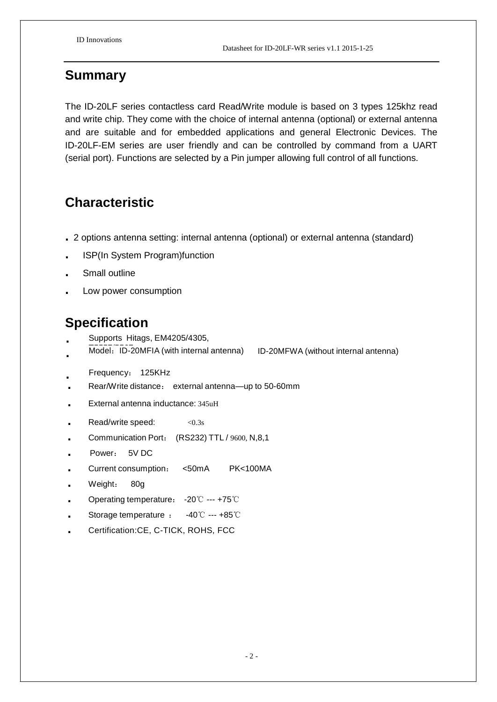#### **Summary**

The ID-20LF series contactless card Read/Write module is based on 3 types 125khz read and write chip. They come with the choice of internal antenna (optional) or external antenna and are suitable and for embedded applications and general Electronic Devices. The ID-20LF-EM series are user friendly and can be controlled by command from a UART (serial port). Functions are selected by a Pin jumper allowing full control of all functions.

### **Characteristic**

- **.** <sup>2</sup> options antenna setting: internal antenna (optional) or external antenna (standard)
- **.** ISP(In System Program)function
- **.** Small outline
- **.** Low power consumption

#### **Specification**

- **.** Supports Hitags, EM4205/4305,
- T5557/5567. Model:ID-20MFIA (with internal antenna) ID-20MFWA (without internal antenna) **.**
- **.** Frequency: 125KHz
- **.** Rear/Write distance: external antenna—up to 50-60mm
- **.** External antenna inductance: 345uH
- Read/write speed:  $< 0.3$ s
- **.** Communication Port: (RS232) TTL / 9600, N,8,1
- **.** Power: 5V DC
- **.** Current consumption: <50mA PK<100MA
- **.** Weight: 80g
- **.** Operating temperature: -20℃ --- +75℃
- **.** Storage temperature : -40℃ --- +85℃
- **.** Certification:CE, C-TICK, ROHS, FCC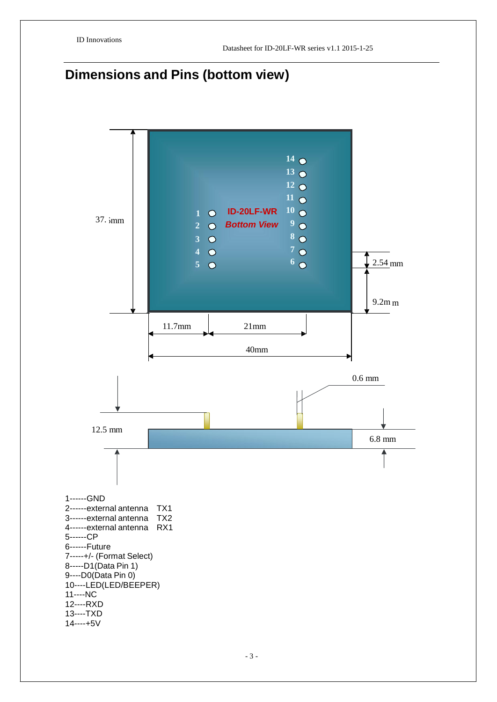## **Dimensions and Pins (bottom view)**